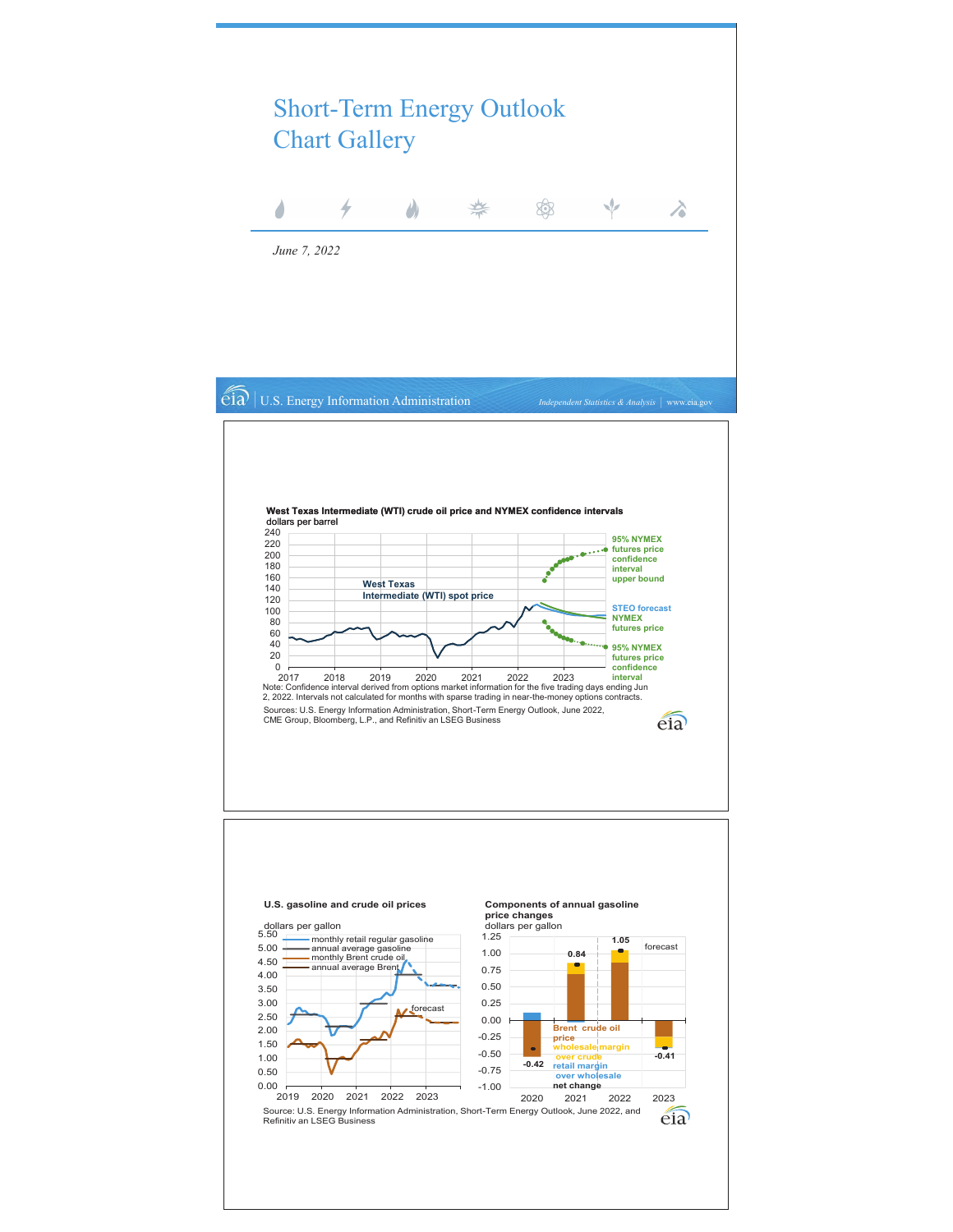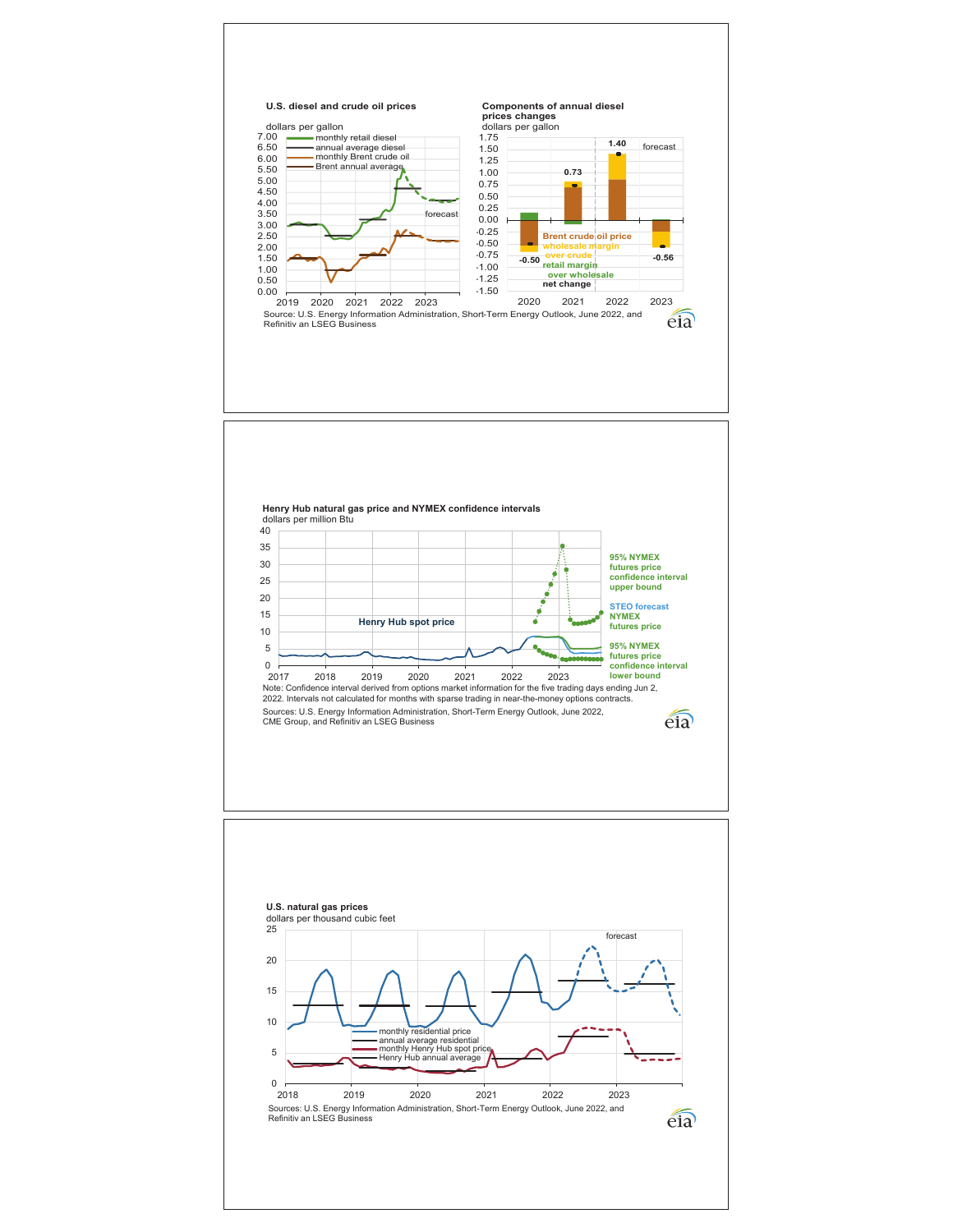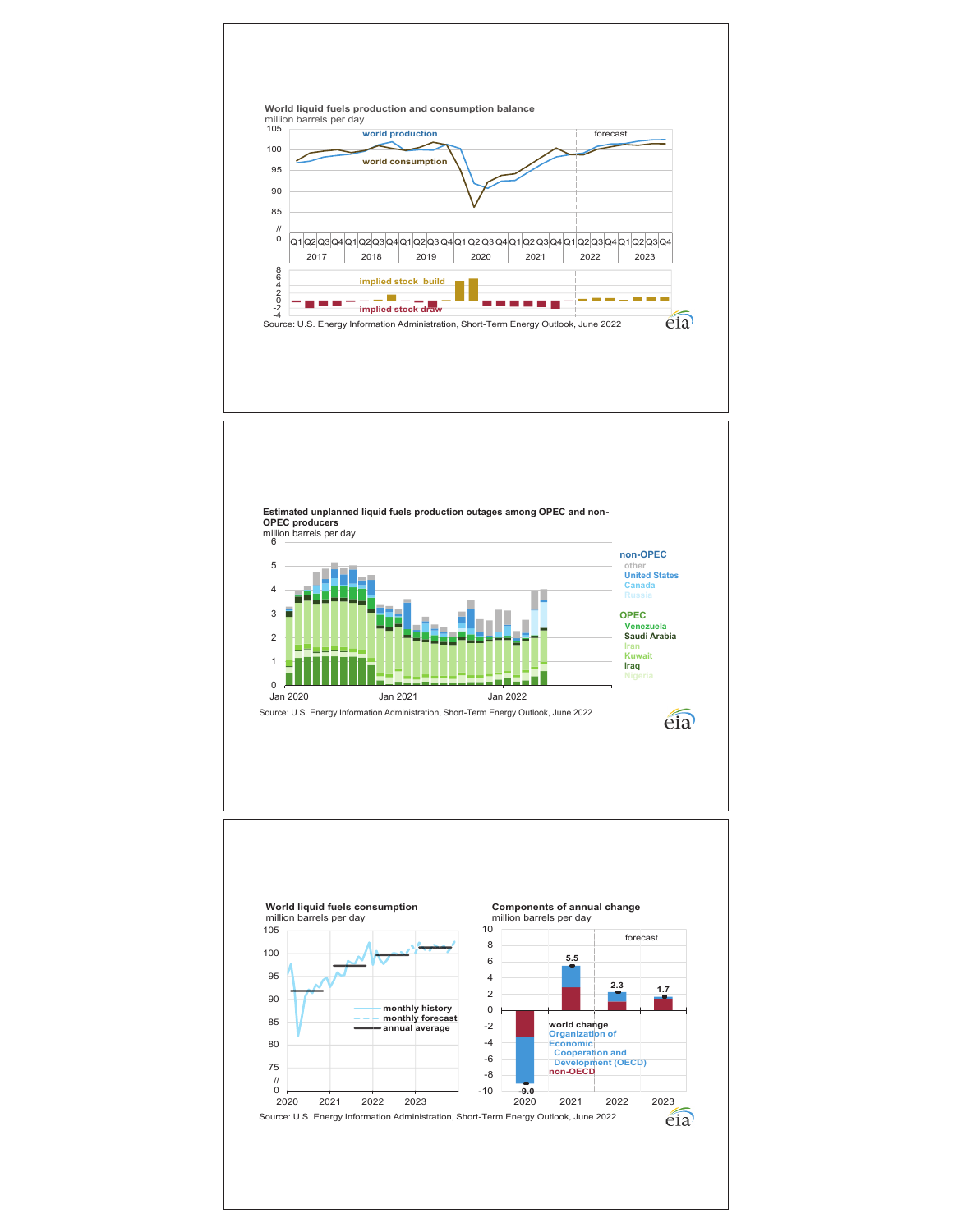



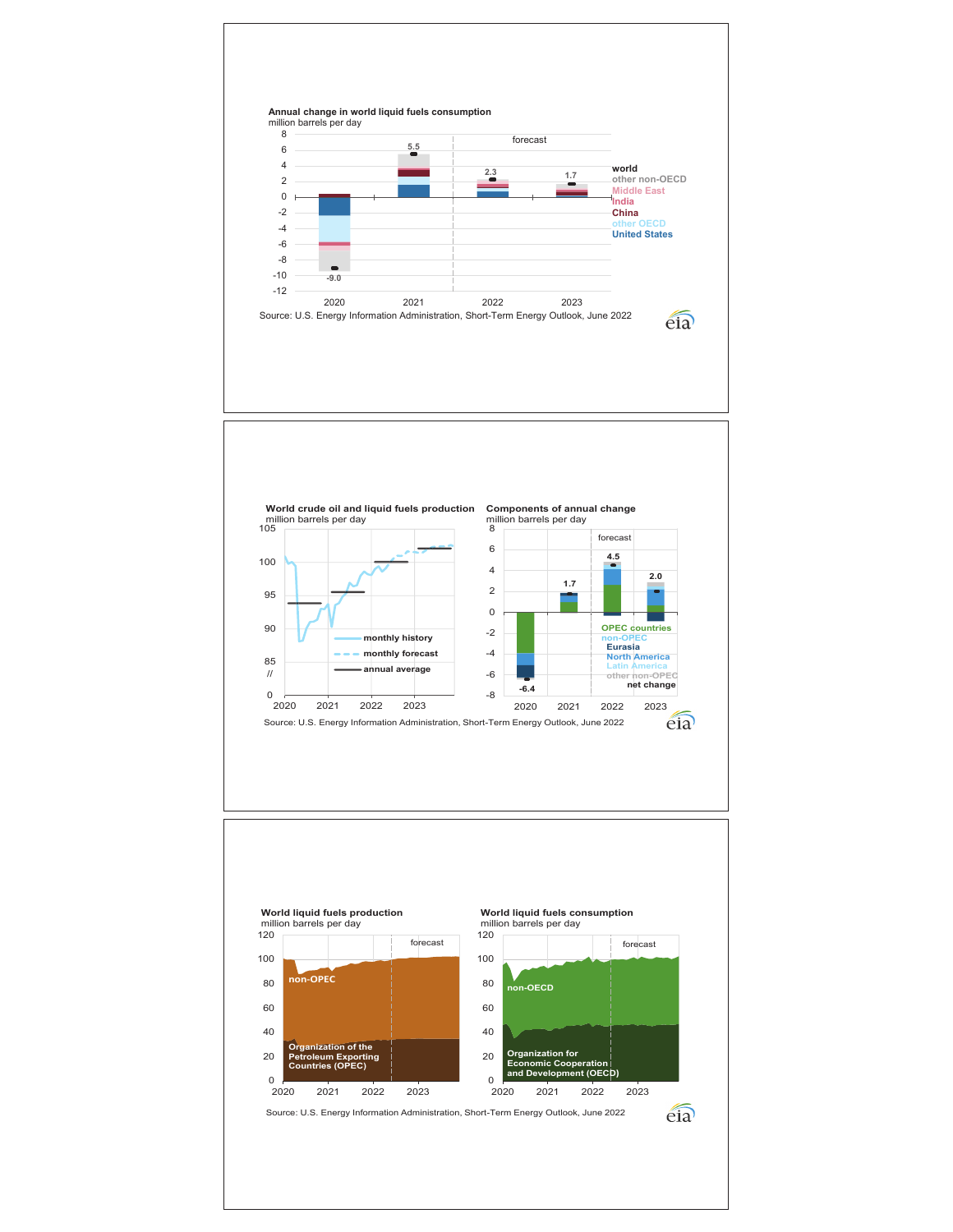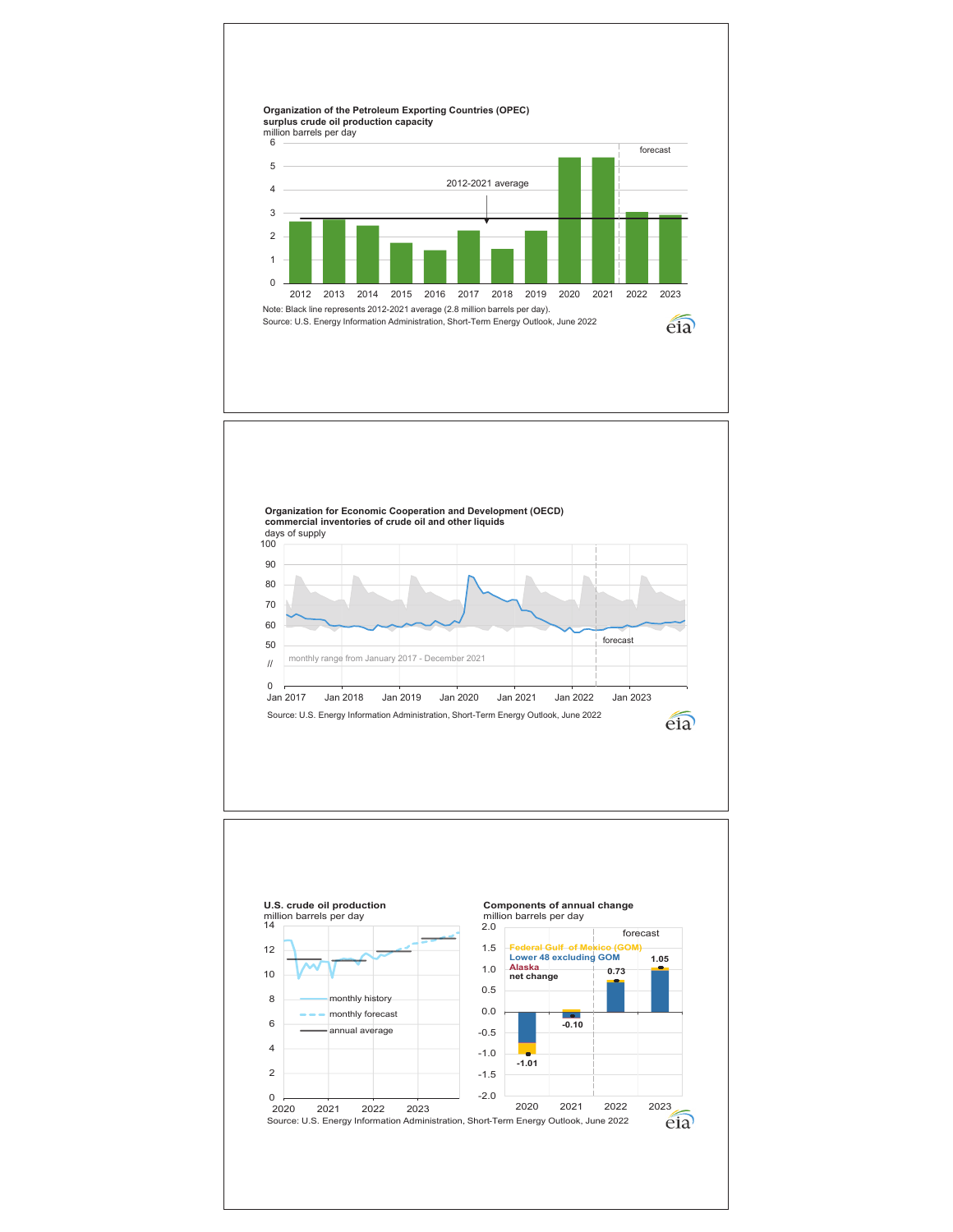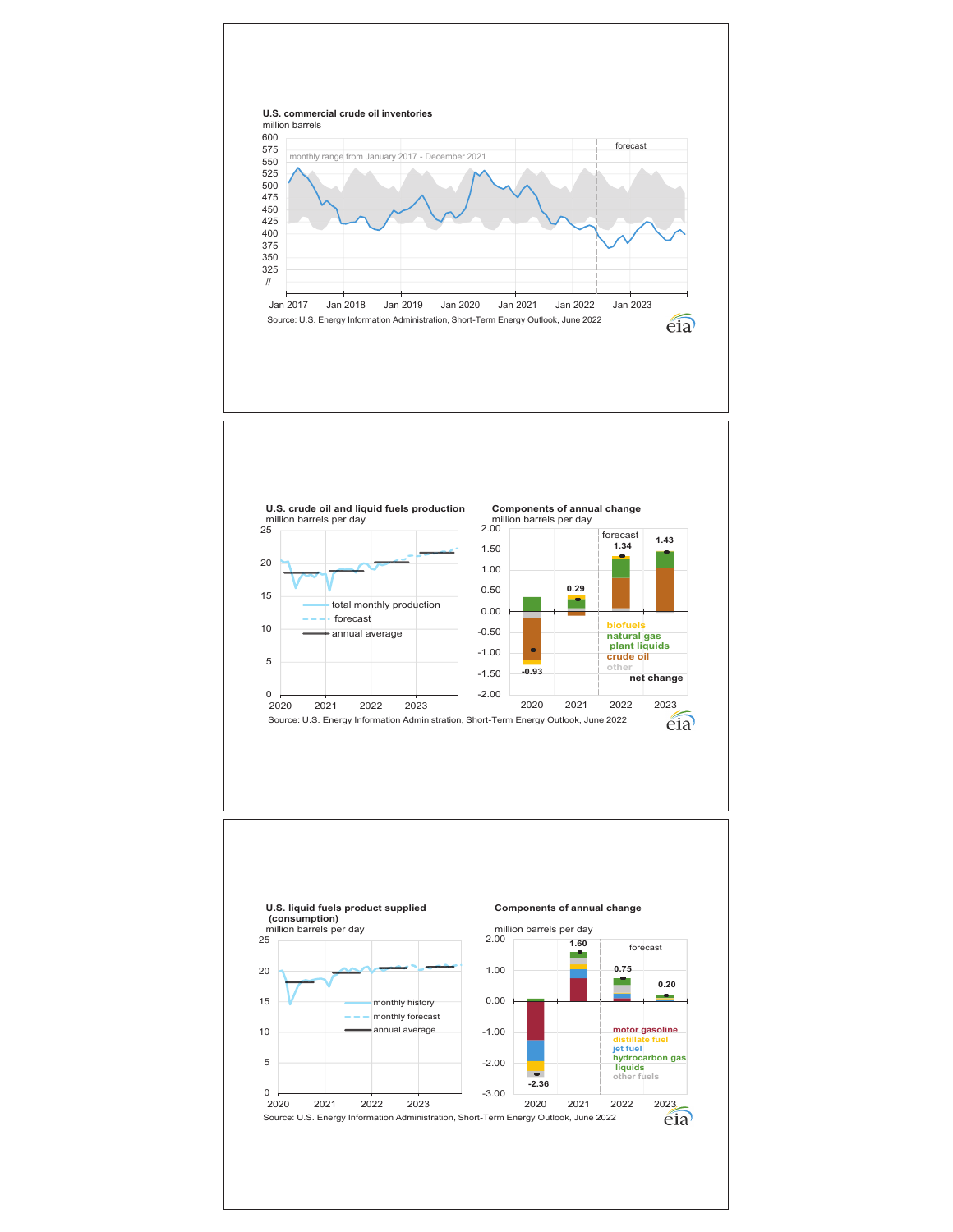

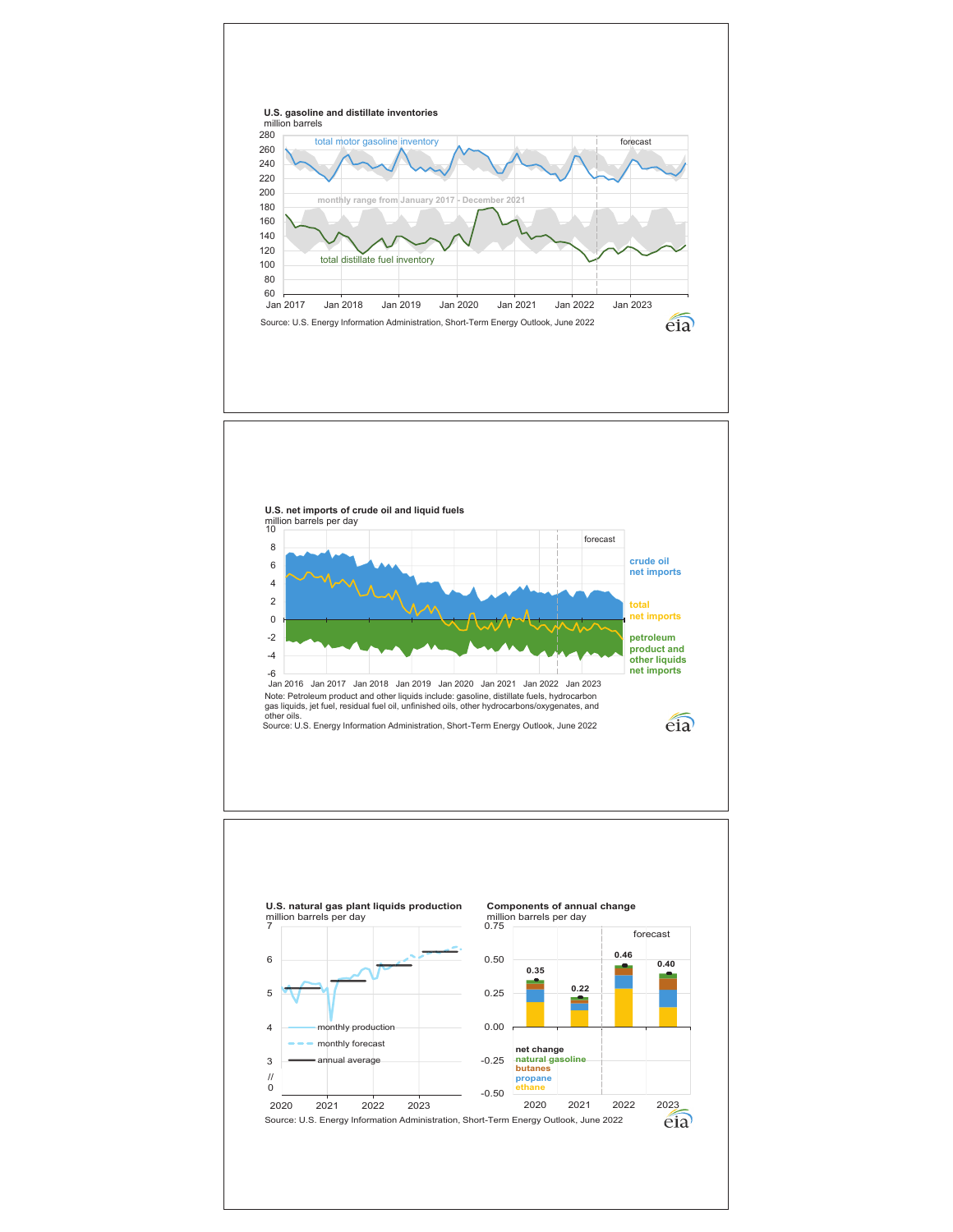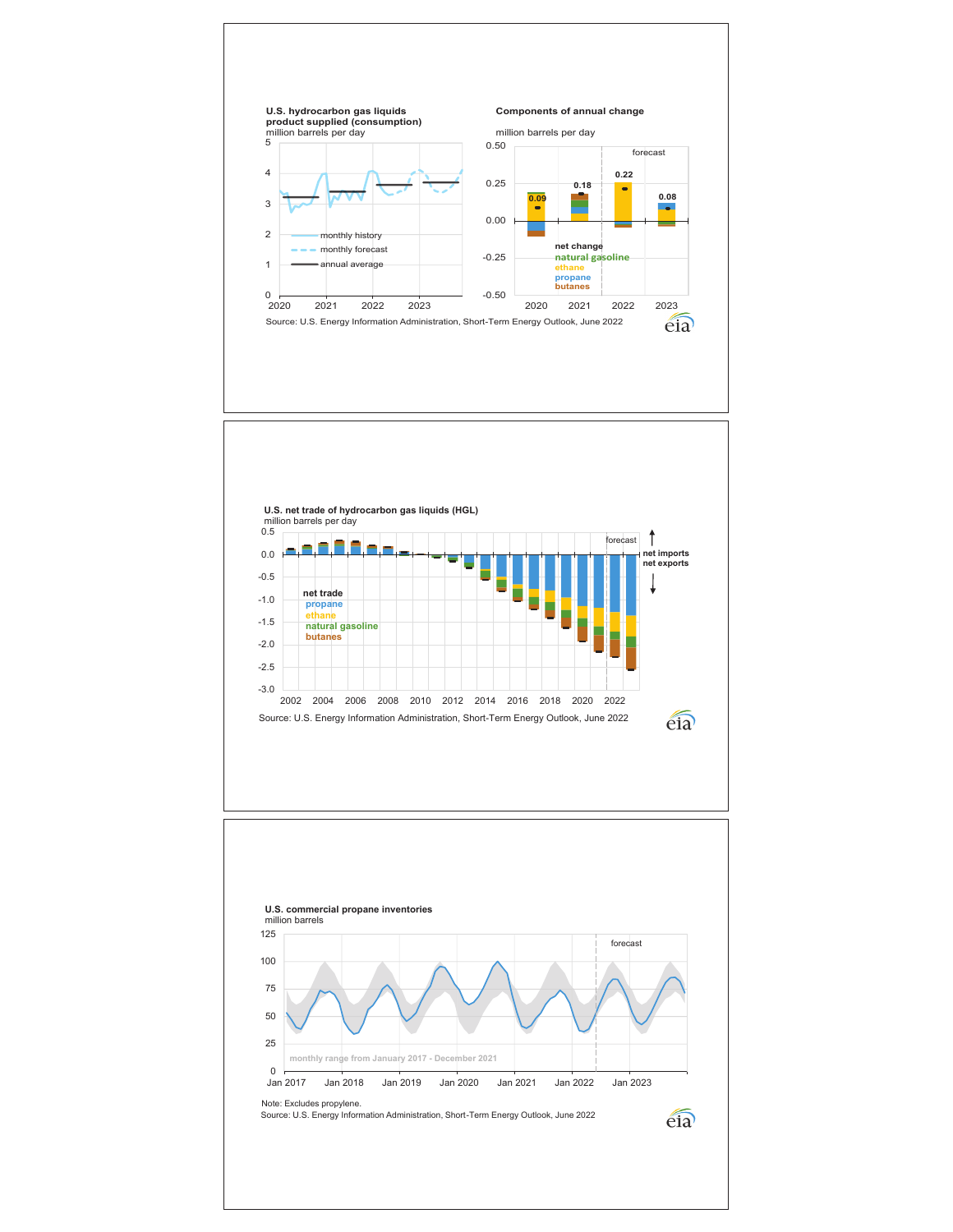

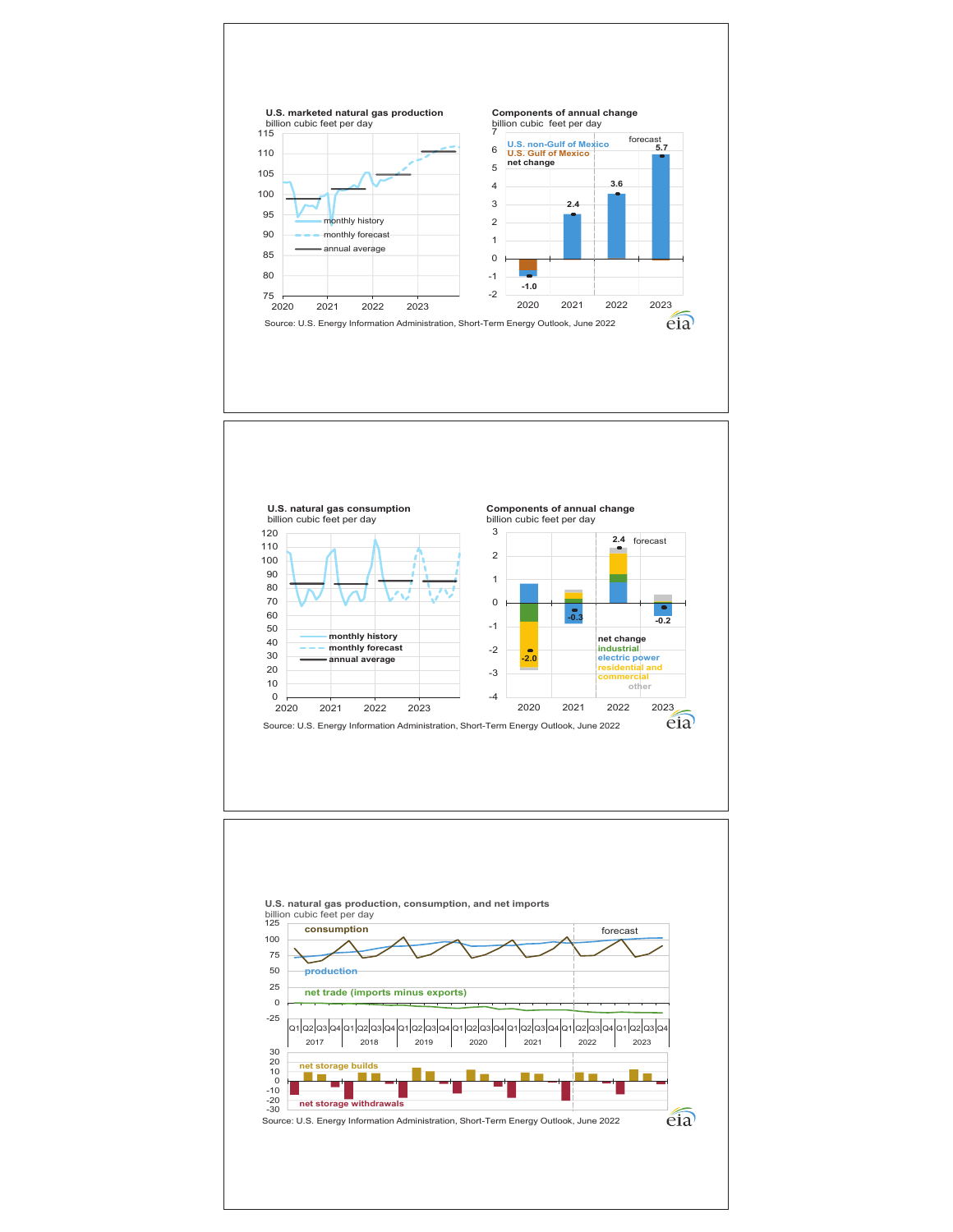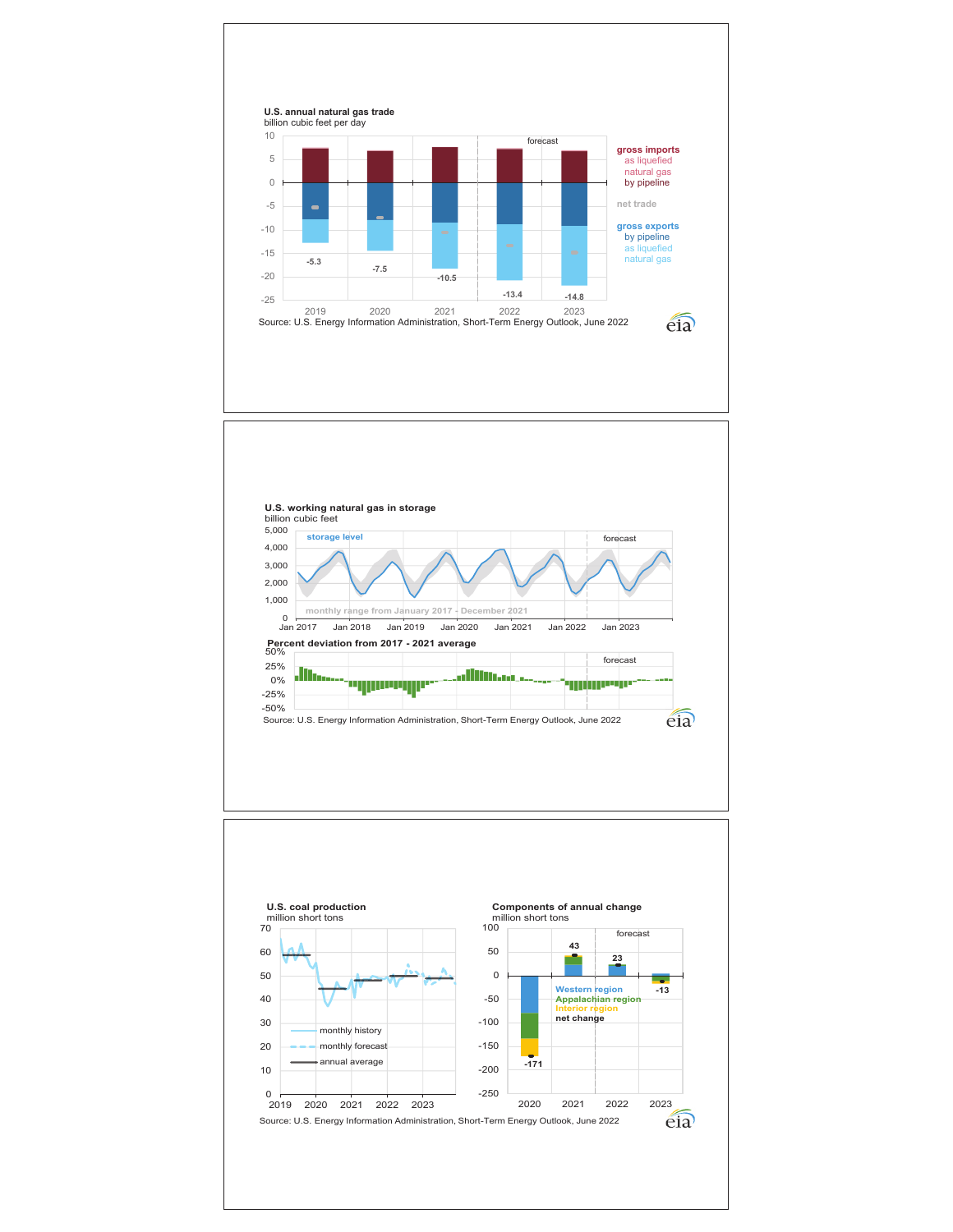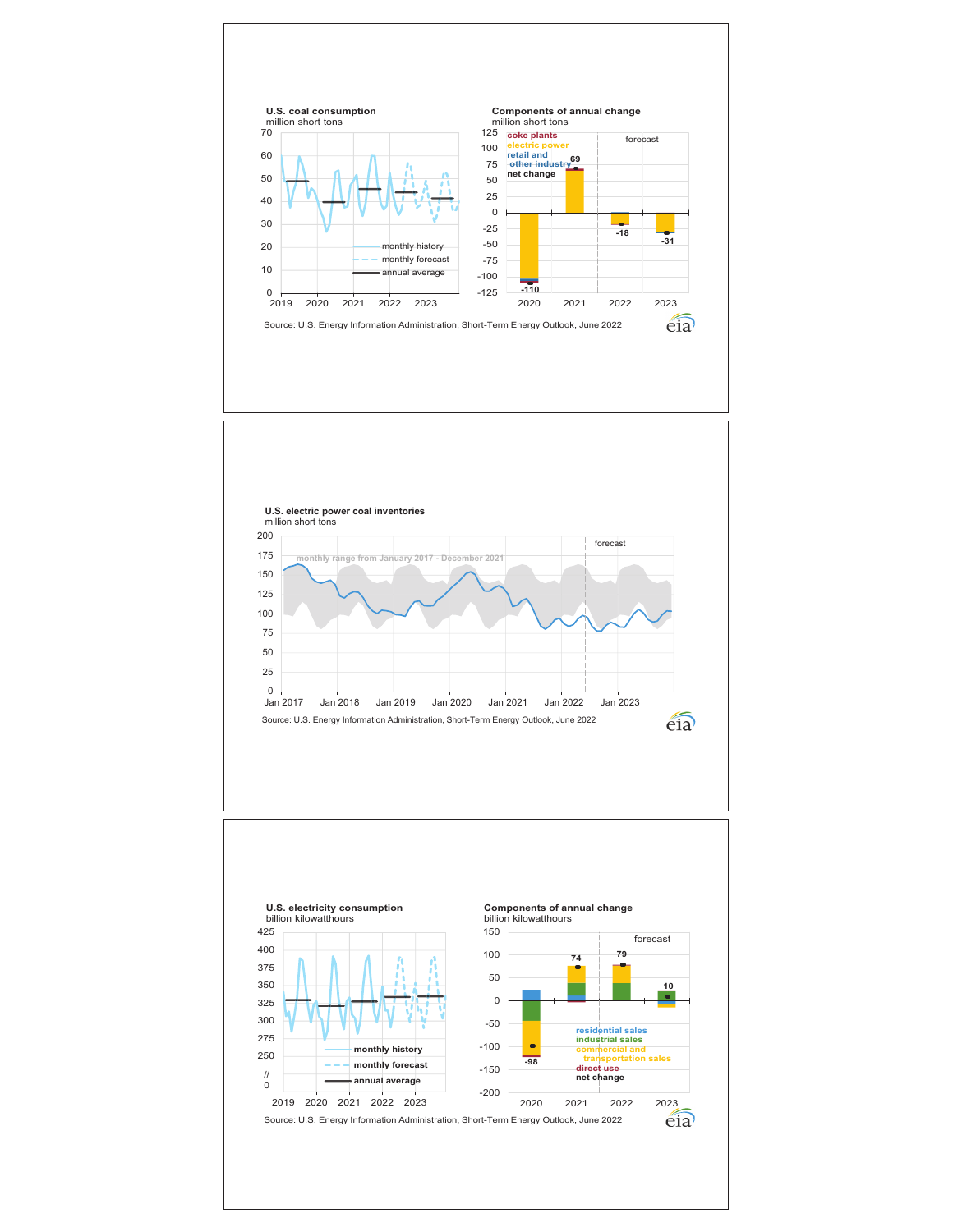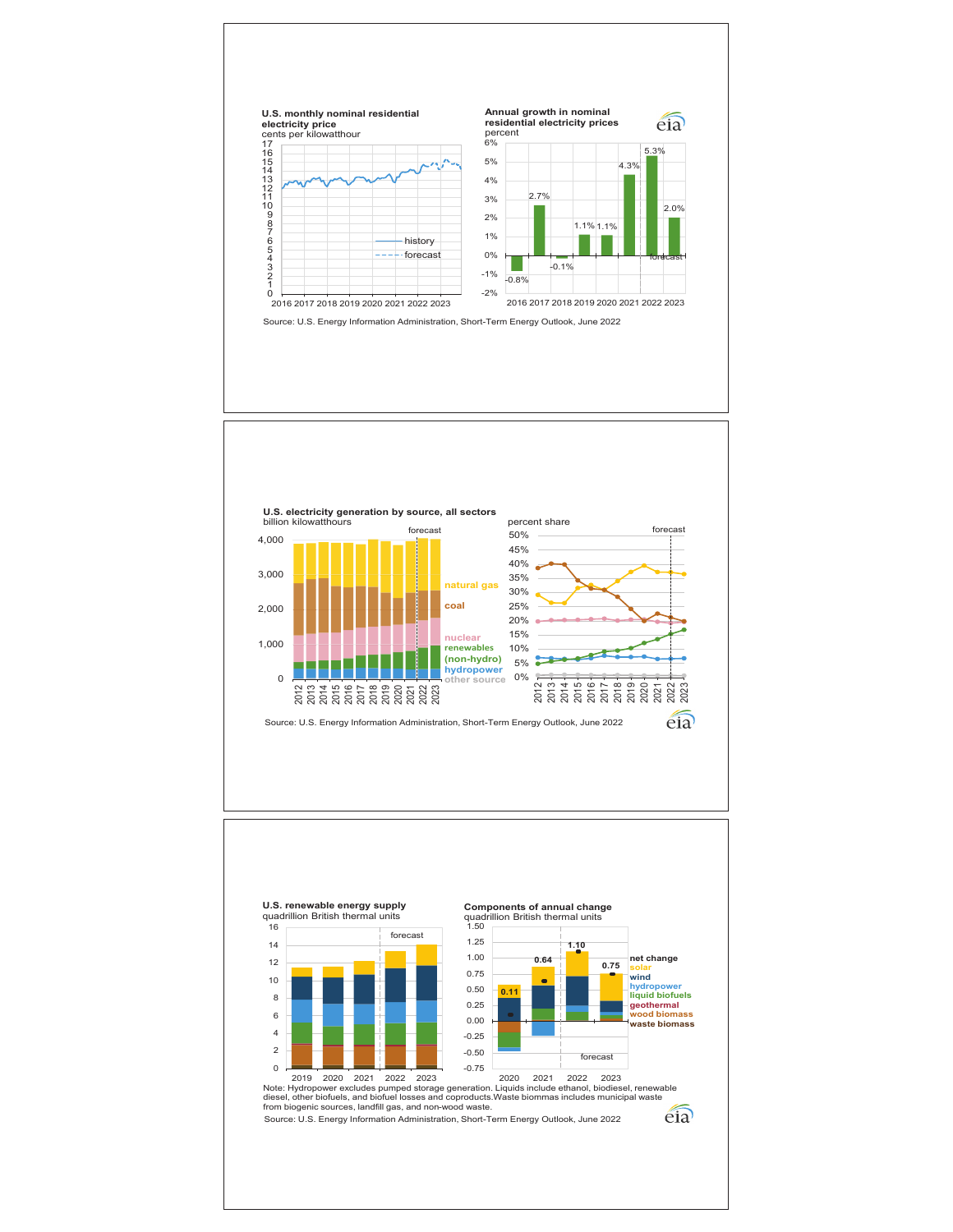

2020 2021 2022 2023 2019 2020 2021 2022 2023 Note: Hydropower excludes pumped storage generation. Liquids include ethanol, biodiesel, renewable diesel, other biofuels, and biofuel losses and coproducts.Waste biommas includes municipal waste from biogenic Note: Hydropower excludes pumped storage generation. Liquids include ethanol, biodiesel, renewable diesel, other biofuels, and biofuel losses and coproducts.Waste biommas includes municipal waste from biogenic sources, landfill gas, and non-wood waste. eia Source: U.S. Energy Information Administration, Short-Term Energy Outlook, June 2022 Source: U.S. Energy Information Administration, Short-Term Energy Outlook, June 2022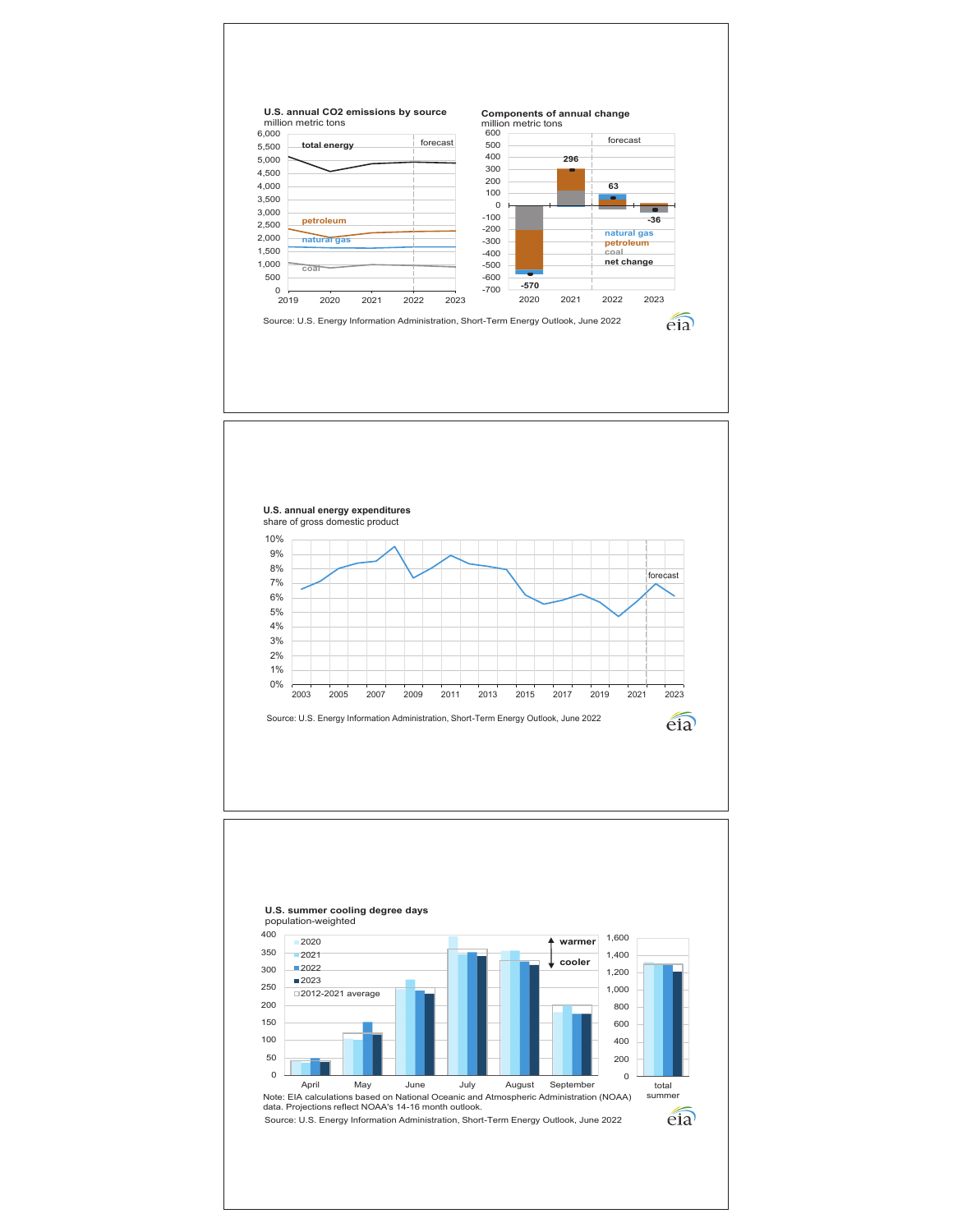



April May June July August September April May June July August September Note: EIA calculations based on National Oceanic and Atmospheric Administration (NOAA) data. Projections reflect NOAA's 14-16 month outlook.

 $\overline{0}$ 200

total

summer

eia

Source: U.S. Energy Information Administration, Short-Term Energy Outlook, June 2022 Source: U.S. Energy Information Administration, Short-Term Energy Outlook, June 2022

0 0